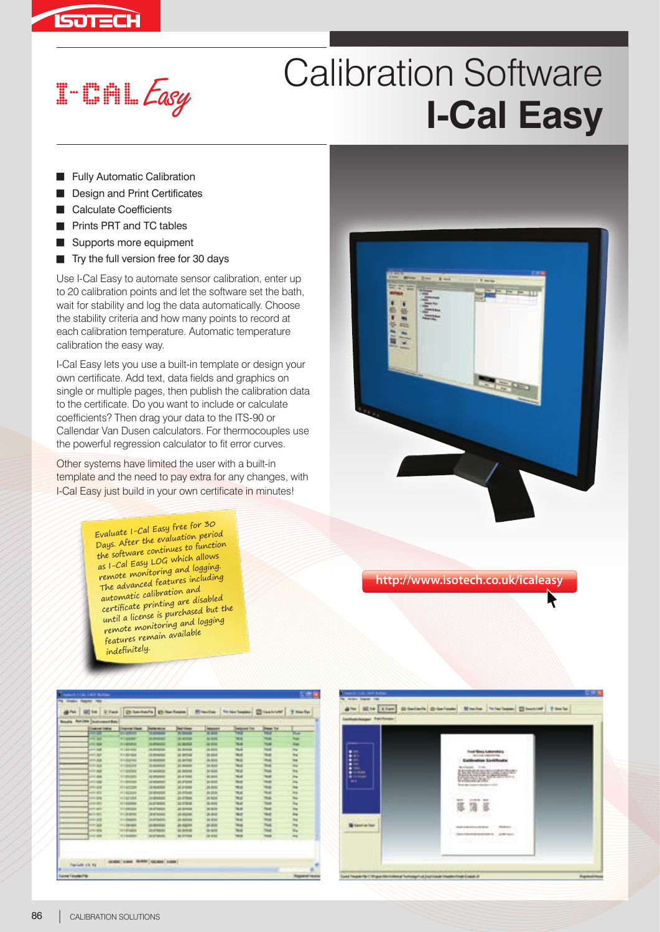

## Calibration Software **I-Cal Easy** Call Burn Contract Control Cal Easy

- **Fully Automatic Calibration**
- Design and Print Certificates
- Calculate Coefficients
- Prints PRT and TC tables
- Supports more equipment
- $\blacksquare$  Try the full version free for 30 days

Use I-Cal Easy to automate sensor calibration, enter up to 20 calibration points and let the software set the bath, wait for stability and log the data automatically. Choose the stability criteria and how many points to record at each calibration temperature. Automatic temperature calibration the easy way.

I-Cal Easy lets you use a built-in template or design your own certificate. Add text, data fields and graphics on single or multiple pages, then publish the calibration data to the certificate. Do you want to include or calculate coefficients? Then drag your data to the ITS-90 or Callendar Van Dusen calculators. For thermocouples use the powerful regression calculator to fit error curves.

Other systems have limited the user with a built-in template and the need to pay extra for any changes, with I-Cal Easy just build in your own certificate in minutes!

> Evaluate I-Cal Easy free for 30 Days. After the evaluation period the software continues to function as I-Cal Easy LOG which allows remote monitoring and logging. The advanced features including automatic calibration and certificate printing are disabled until a license is purchased but the remote monitoring and logging features remain available indefinitely.



**http://www.isotech.co.uk/icaleasy**

| ally. Rob 2009 Dealershired Enty<br><b><i><u>Inserted firebus</u></i></b> | <b><i><u>Finance House</u></i></b> | <b>Barley Horn de</b> | <b>Ref</b> rictions                                       | <b><i><u>Internation</u></i></b> | <b>Telepone Fat</b> | <b>Heads</b> Fol- |             |
|---------------------------------------------------------------------------|------------------------------------|-----------------------|-----------------------------------------------------------|----------------------------------|---------------------|-------------------|-------------|
| <b>SILVER</b>                                                             | <b>WARRANT</b>                     | <b>School</b>         | $\frac{1}{2}$                                             | <b>Si Anie</b>                   | ۳R                  | <b>TEST</b>       | ਸਤ          |
| -- 25                                                                     | <b>HILLERY</b>                     | <b>JUNIOR</b>         | 26.03344                                                  | <b>Die Wolfen</b>                | <b>Will</b>         | $^{**}$           | Total I     |
| $-0.004$                                                                  | $-1.45233$                         | <b>SHOWER</b>         | 31 RONT                                                   | 38,610                           | 7848                | T64               | <b>Text</b> |
| ain side                                                                  | <b>HILBERT</b>                     | in every              | di, avenue                                                | <b>Jon Arriver</b>               | <b>Walk</b>         | <b>Hotel</b>      | m.          |
| <b>ARMED</b>                                                              | <b>TELEVISION</b>                  | <b>SIL Bronzello</b>  | 20-80 004                                                 | <b>JA 814</b>                    | <b>Widt</b>         | -                 | bu.         |
| <b>HILLER</b>                                                             | the Elizabeth                      | <b>ID BORDER</b>      | 35 Antique                                                | in most                          | <b>Will</b>         | The age           | int.        |
| <b>FT IGE</b>                                                             | TO A BOLIVIER                      | 21 Britannia          | 21 Million                                                | 29, 92, 93                       | <b>WAS</b>          | The page          | <b>Ing</b>  |
| <b>FIFTERS</b>                                                            | IT I BRING                         | <b>BY BUREAU</b>      | <b><i><i><u><b>RI</b></u></i></i></b> <i><b>RIGHT</b></i> | <b>IS MAIL</b>                   | <b>TELE</b>         | Total             | ÷.          |
| LENT WAR                                                                  | IT I EVAPO                         | ALC: NO MARKET        | as around                                                 | <b>25 Arrest</b>                 | <b>Nid</b>          | TELET             | ing.        |
| <b>ATACAME</b>                                                            | <b>STATEMENT</b>                   | ALCOHOL: N            | as arterios                                               | <b>BEARE</b>                     | <b>TALK</b>         | Total C           | m.          |
| 1410 1818                                                                 | <b>STARTUPE</b>                    | 314, 944              | 3147444                                                   | 35,800                           | <b>TRUE</b>         | $m_{\rm eff}$     | <b>Sup</b>  |
| $-4.4 - 40.6$                                                             | 484, 442, 648                      | <b>SHARROOM</b>       | 24,419,444                                                | 38,659                           | TALK.               | TA AT             | m           |
| ---                                                                       | $-14748$                           | 24 Britishi           | $25 - 47$ Month                                           | 24,604                           | <b>Will</b>         | <b>TAAL</b>       | m.          |
| <b>LEVEL ATT</b>                                                          | $-0.1433444$                       | <b>AL 47 DOES</b>     | 22.47944                                                  | 38.604                           | <b>Wal</b>          | <b>TEAR</b>       | ing.        |
| and ages                                                                  | <b>HI &amp; ROPULARES</b>          | <b>SKATTERING</b>     | Jo. Arwells                                               | <b>Jackson</b>                   | <b>Hall</b>         | Total III         | $\sim$      |
| ---                                                                       | IT LEWIS                           | <b>UR Britannico</b>  | <b>JR BOUTE</b>                                           | 38,814                           | w                   | 16.45             | the         |
| <b>HRIST</b>                                                              | TO LABOUR.                         | <b>UNITED</b>         | <b>JA ALESSA</b>                                          | <b>DRAWN</b>                     | <b>WA</b>           | <b>The add</b>    | tis.        |
| <b>Lett Wild</b>                                                          | $-149 - 0.01$                      | <b>JUNIOR</b>         | all signed                                                | 49.4004                          | $^{4+}$             | That              | ing.        |
| LEW 1814                                                                  | IT I Brazile                       | <b>US-AT TARRIES</b>  | <b>All Armight</b>                                        | in sold                          | w                   | <b>Tour</b>       | the         |
| Link area                                                                 | <b>W1-based</b>                    | <b>MAYBERS</b>        | ALC: YES                                                  | <b>IS AGE</b>                    | <b>SELE</b>         | <b>TELES</b>      | 164         |